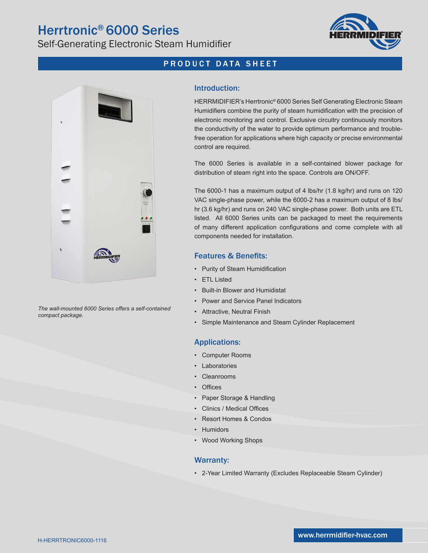## Herrtronic® 6000 Series

Self-Generating Electronic Steam Humidifier



### PRODUCT DATA SHEET



*The wall-mounted 6000 Series offers a self-contained compact package.*

#### Introduction:

HERRMIDIFIER's Herrtronic® 6000 Series Self Generating Electronic Steam Humidifiers combine the purity of steam humidification with the precision of electronic monitoring and control. Exclusive circuitry continuously monitors the conductivity of the water to provide optimum performance and troublefree operation for applications where high capacity or precise environmental control are required.

The 6000 Series is available in a self-contained blower package for distribution of steam right into the space. Controls are ON/OFF.

The 6000-1 has a maximum output of 4 lbs/hr (1.8 kg/hr) and runs on 120 VAC single-phase power, while the 6000-2 has a maximum output of 8 lbs/ hr (3.6 kg/hr) and runs on 240 VAC single-phase power. Both units are ETL listed. All 6000 Series units can be packaged to meet the requirements of many different application configurations and come complete with all components needed for installation.

#### Features & Benefits:

- Purity of Steam Humidification
- ETL Listed
- Built-in Blower and Humidistat
- Power and Service Panel Indicators
- Attractive, Neutral Finish
- Simple Maintenance and Steam Cylinder Replacement

#### Applications:

- Computer Rooms
- Laboratories
- Cleanrooms
- Offices
- Paper Storage & Handling
- Clinics / Medical Offices
- Resort Homes & Condos
- **Humidors**
- Wood Working Shops

#### Warranty:

• 2-Year Limited Warranty (Excludes Replaceable Steam Cylinder)